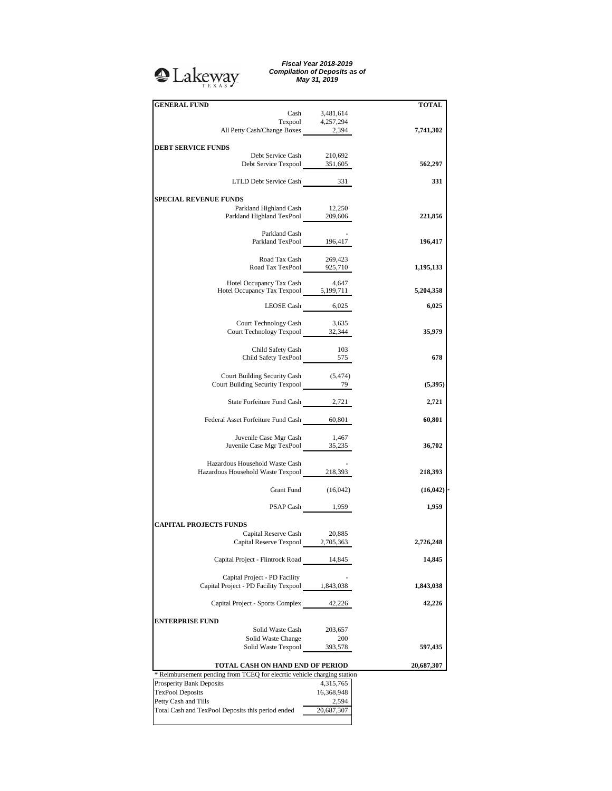## <sup>2</sup>Lakeway

*Fiscal Year 2018-2019 Compilation of Deposits as of May 31, 2019*

| <b>GENERAL FUND</b>                                                     |                     | TOTAL      |
|-------------------------------------------------------------------------|---------------------|------------|
|                                                                         | Cash 3,481,614      |            |
|                                                                         | Texpool $4,257,294$ |            |
| All Petty Cash/Change Boxes 2,394                                       |                     | 7,741,302  |
|                                                                         |                     |            |
| <b>DEBT SERVICE FUNDS</b>                                               |                     |            |
| Debt Service Cash                                                       | 210,692             |            |
| Debt Service Texpool 351,605                                            |                     | 562,297    |
|                                                                         |                     |            |
| LTLD Debt Service Cash 331                                              |                     | 331        |
|                                                                         |                     |            |
|                                                                         |                     |            |
| <b>SPECIAL REVENUE FUNDS</b>                                            |                     |            |
| Parkland Highland Cash 12,250                                           |                     |            |
| Parkland Highland TexPool 209,606                                       |                     | 221,856    |
|                                                                         |                     |            |
| Parkland Cash                                                           |                     |            |
| Parkland TexPool 196,417                                                |                     | 196,417    |
|                                                                         |                     |            |
|                                                                         |                     |            |
| Road Tax Cash 269,423<br>Road Tax TexPool 925,710                       |                     |            |
|                                                                         |                     | 1,195,133  |
|                                                                         |                     |            |
| Hotel Occupancy Tax Cash 4,647<br>Hotel Occupancy Tax Texpool 5,199,711 |                     |            |
|                                                                         |                     | 5,204,358  |
|                                                                         |                     |            |
|                                                                         | LEOSE Cash 6,025    | 6,025      |
|                                                                         |                     |            |
| Court Technology Cash                                                   | 3,635               |            |
| Court Technology Texpool 32,344                                         |                     | 35,979     |
|                                                                         |                     |            |
| Child Safety Cash                                                       | 103                 |            |
| Child Safety Cash 103<br>Child Safety TexPool 575                       |                     | 678        |
|                                                                         |                     |            |
|                                                                         |                     |            |
| Court Building Security Cash (5,474)                                    |                     |            |
| Court Building Security Texpool 79                                      |                     | (5, 395)   |
|                                                                         |                     |            |
| State Forfeiture Fund Cash 2,721                                        |                     | 2,721      |
|                                                                         |                     |            |
| Federal Asset Forfeiture Fund Cash 60,801                               |                     | 60,801     |
|                                                                         |                     |            |
|                                                                         |                     |            |
| Juvenile Case Mgr Cash                                                  | 1,467               |            |
| Juvenile Case Mgr TexPool 35,235                                        |                     | 36,702     |
|                                                                         |                     |            |
| Hazardous Household Waste Cash                                          |                     |            |
| Hazardous Household Waste Texpool 218,393                               |                     | 218,393    |
|                                                                         |                     |            |
|                                                                         | Grant Fund (16,042) | (16, 042)  |
|                                                                         |                     |            |
|                                                                         |                     |            |
|                                                                         | PSAP Cash 1,959     | 1,959      |
|                                                                         |                     |            |
| <b>CAPITAL PROJECTS FUNDS</b>                                           |                     |            |
| Capital Reserve Cash                                                    | 20,885              |            |
| Capital Reserve Texpool 2,705,363                                       |                     | 2,726,248  |
|                                                                         |                     |            |
|                                                                         |                     | 14,845     |
| Capital Project - Flintrock Road 14,845                                 |                     |            |
|                                                                         |                     |            |
| Capital Project - PD Facility                                           |                     |            |
| Capital Project - PD Facility Texpool 1,843,038                         |                     | 1,843,038  |
|                                                                         |                     |            |
| Capital Project - Sports Complex                                        | 42,226              | 42,226     |
|                                                                         |                     |            |
| <b>ENTERPRISE FUND</b>                                                  |                     |            |
|                                                                         |                     |            |
| Solid Waste Cash                                                        | 203,657             |            |
| Solid Waste Change                                                      | 200                 |            |
| Solid Waste Texpool                                                     | 393,578             | 597,435    |
|                                                                         |                     |            |
| TOTAL CASH ON HAND END OF PERIOD                                        |                     | 20,687,307 |
| * Reimbursement pending from TCEQ for elecrtic vehicle charging station |                     |            |
|                                                                         |                     |            |
| Prosperity Bank Deposits                                                | 4,315,765           |            |
| <b>TexPool Deposits</b>                                                 | 16,368,948          |            |
| Petty Cash and Tills                                                    | 2,594               |            |
| Total Cash and TexPool Deposits this period ended                       | 20,687,307          |            |
|                                                                         |                     |            |
|                                                                         |                     |            |